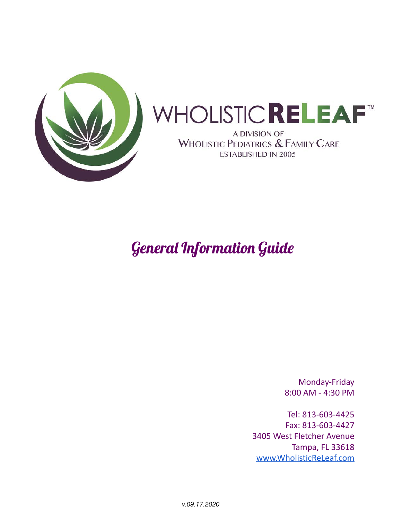

# WHOLISTIC**RELEAF**™

A DIVISION OF MHOLISTIC PEDIATRICS & FAMILY CARE **ESTABLISHED IN 2005** 

# General Information Guide

Monday-Friday 8:00 AM - 4:30 PM

Tel: 813-603-4425 Fax: 813-603-4427 3405 West Fletcher Avenue Tampa, FL 33618 [www.WholisticReLeaf.com](http://www.wholisticreleaf.com)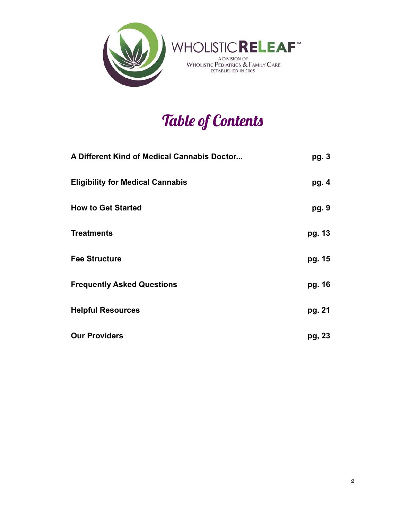

# Table of Contents

| A Different Kind of Medical Cannabis Doctor | pg. 3  |
|---------------------------------------------|--------|
| <b>Eligibility for Medical Cannabis</b>     | pg. 4  |
| <b>How to Get Started</b>                   | pg. 9  |
| <b>Treatments</b>                           | pg. 13 |
| <b>Fee Structure</b>                        | pg. 15 |
| <b>Frequently Asked Questions</b>           | pg. 16 |
| <b>Helpful Resources</b>                    | pg. 21 |
| <b>Our Providers</b>                        | pg, 23 |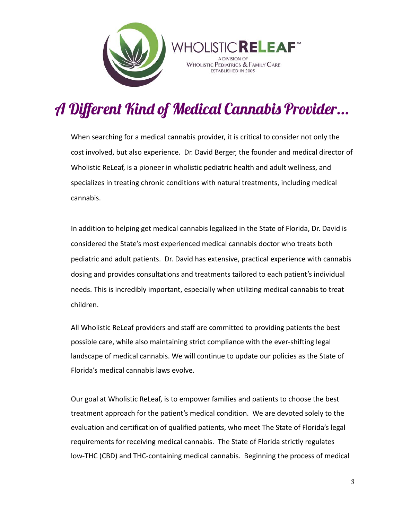



# A Different Kind of Medical Cannabis Provider...

When searching for a medical cannabis provider, it is critical to consider not only the cost involved, but also experience. Dr. David Berger, the founder and medical director of Wholistic ReLeaf, is a pioneer in wholistic pediatric health and adult wellness, and specializes in treating chronic conditions with natural treatments, including medical cannabis.

In addition to helping get medical cannabis legalized in the State of Florida, Dr. David is considered the State's most experienced medical cannabis doctor who treats both pediatric and adult patients. Dr. David has extensive, practical experience with cannabis dosing and provides consultations and treatments tailored to each patient's individual needs. This is incredibly important, especially when utilizing medical cannabis to treat children.

All Wholistic ReLeaf providers and staff are committed to providing patients the best possible care, while also maintaining strict compliance with the ever-shifting legal landscape of medical cannabis. We will continue to update our policies as the State of Florida's medical cannabis laws evolve.

Our goal at Wholistic ReLeaf, is to empower families and patients to choose the best treatment approach for the patient's medical condition. We are devoted solely to the evaluation and certification of qualified patients, who meet The State of Florida's legal requirements for receiving medical cannabis. The State of Florida strictly regulates low-THC (CBD) and THC-containing medical cannabis. Beginning the process of medical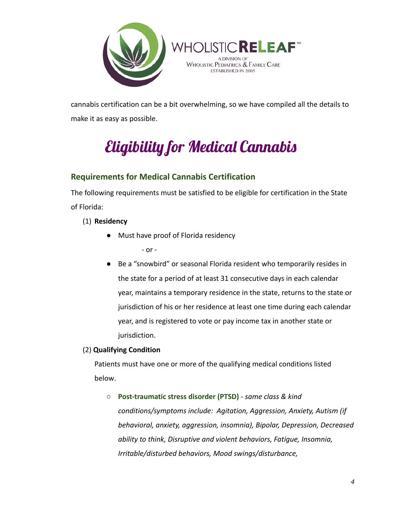

cannabis certification can be a bit overwhelming, so we have compiled all the details to make it as easy as possible.

# Eligibility for Medical Cannabis

# **Requirements for Medical Cannabis Certification**

The following requirements must be satisfied to be eligible for certification in the State of Florida:

(1) **Residency**

● Must have proof of Florida residency

- or -

● Be a "snowbird" or seasonal Florida resident who temporarily resides in the state for a period of at least 31 consecutive days in each calendar year, maintains a temporary residence in the state, returns to the state or jurisdiction of his or her residence at least one time during each calendar year, and is registered to vote or pay income tax in another state or jurisdiction.

#### (2) **Qualifying Condition**

Patients must have one or more of the qualifying medical conditions listed below.

○ **Post-traumatic stress disorder (PTSD)** - *same class & kind conditions/symptoms include: Agitation, Aggression, Anxiety, Autism (if behavioral, anxiety, aggression, insomnia), Bipolar, Depression, Decreased ability to think, Disruptive and violent behaviors, Fatigue, Insomnia, Irritable/disturbed behaviors, Mood swings/disturbance,*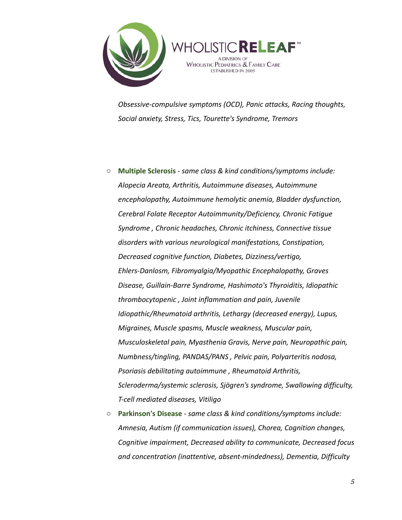

*Obsessive-compulsive symptoms (OCD), Panic attacks, Racing thoughts, Social anxiety, Stress, Tics, Tourette's Syndrome, Tremors*

- **Multiple Sclerosis** *same class & kind conditions/symptoms include: Alopecia Areata, Arthritis, Autoimmune diseases, Autoimmune encephalopathy, Autoimmune hemolytic anemia, Bladder dysfunction, Cerebral Folate Receptor Autoimmunity/Deficiency, Chronic Fatigue Syndrome , Chronic headaches, Chronic itchiness, Connective tissue disorders with various neurological manifestations, Constipation, Decreased cognitive function, Diabetes, Dizziness/vertigo, Ehlers-Danlosm, Fibromyalgia/Myopathic Encephalopathy, Graves Disease, Guillain-Barre Syndrome, Hashimoto's Thyroiditis, Idiopathic thrombocytopenic , Joint inflammation and pain, Juvenile Idiopathic/Rheumatoid arthritis, Lethargy (decreased energy), Lupus, Migraines, Muscle spasms, Muscle weakness, Muscular pain, Musculoskeletal pain, Myasthenia Gravis, Nerve pain, Neuropathic pain, Numbness/tingling, PANDAS/PANS , Pelvic pain, Polyarteritis nodosa, Psoriasis debilitating autoimmune , Rheumatoid Arthritis, Scleroderma/systemic sclerosis, Sjögren's syndrome, Swallowing difficulty, T-cell mediated diseases, Vitiligo*
- **Parkinson's Disease** *same class & kind conditions/symptoms include: Amnesia, Autism (if communication issues), Chorea, Cognition changes, Cognitive impairment, Decreased ability to communicate, Decreased focus and concentration (inattentive, absent-mindedness), Dementia, Difficulty*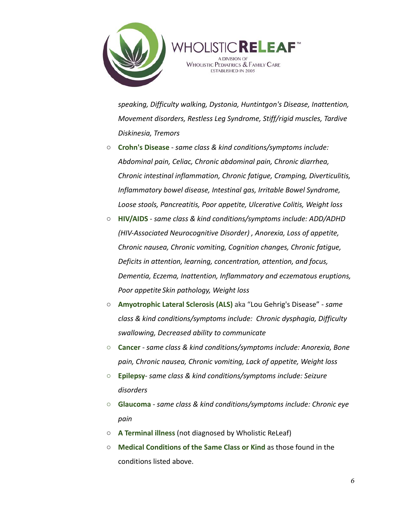



*speaking, Difficulty walking, Dystonia, Huntintgon's Disease, Inattention, Movement disorders, Restless Leg Syndrome, Stiff/rigid muscles, Tardive Diskinesia, Tremors*

- **Crohn's Disease** *same class & kind conditions/symptoms include: Abdominal pain, Celiac, Chronic abdominal pain, Chronic diarrhea, Chronic intestinal inflammation, Chronic fatigue, Cramping, Diverticulitis, Inflammatory bowel disease, Intestinal gas, Irritable Bowel Syndrome, Loose stools, Pancreatitis, Poor appetite, Ulcerative Colitis, Weight loss*
- **HIV/AIDS** *same class & kind conditions/symptoms include: ADD/ADHD (HIV-Associated Neurocognitive Disorder) , Anorexia, Loss of appetite, Chronic nausea, Chronic vomiting, Cognition changes, Chronic fatigue, Deficits in attention, learning, concentration, attention, and focus, Dementia, Eczema, Inattention, Inflammatory and eczematous eruptions, Poor appetite Skin pathology, Weight loss*
- **Amyotrophic Lateral Sclerosis (ALS)** aka "Lou Gehrig's Disease" *same class & kind conditions/symptoms include: Chronic dysphagia, Difficulty swallowing, Decreased ability to communicate*
- **○ Cancer** *same class & kind conditions/symptoms include: Anorexia, Bone pain, Chronic nausea, Chronic vomiting, Lack of appetite, Weight loss*
- **○ Epilepsy** *same class & kind conditions/symptoms include: Seizure disorders*
- **○ Glaucoma** *same class & kind conditions/symptoms include: Chronic eye pain*
- **A Terminal illness** (not diagnosed by Wholistic ReLeaf)
- **Medical Conditions of the Same Class or Kind** as those found in the conditions listed above.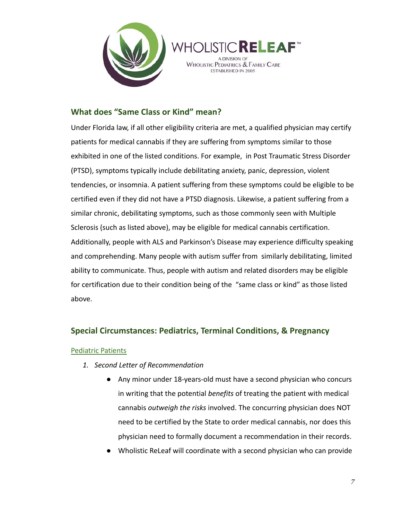



#### **What does "Same Class or Kind" mean?**

Under Florida law, if all other eligibility criteria are met, a qualified physician may certify patients for medical cannabis if they are suffering from symptoms similar to those exhibited in one of the listed conditions. For example, in Post Traumatic Stress Disorder (PTSD), symptoms typically include debilitating anxiety, panic, depression, violent tendencies, or insomnia. A patient suffering from these symptoms could be eligible to be certified even if they did not have a PTSD diagnosis. Likewise, a patient suffering from a similar chronic, debilitating symptoms, such as those commonly seen with Multiple Sclerosis (such as listed above), may be eligible for medical cannabis certification. Additionally, people with ALS and Parkinson's Disease may experience difficulty speaking and comprehending. Many people with autism suffer from similarly debilitating, limited ability to communicate. Thus, people with autism and related disorders may be eligible for certification due to their condition being of the "same class or kind" as those listed above.

#### **Special Circumstances: Pediatrics, Terminal Conditions, & Pregnancy**

#### Pediatric Patients

- *1. Second Letter of Recommendation*
	- Any minor under 18-years-old must have a second physician who concurs in writing that the potential *benefits* of treating the patient with medical cannabis *outweigh the risks* involved. The concurring physician does NOT need to be certified by the State to order medical cannabis, nor does this physician need to formally document a recommendation in their records.
	- Wholistic ReLeaf will coordinate with a second physician who can provide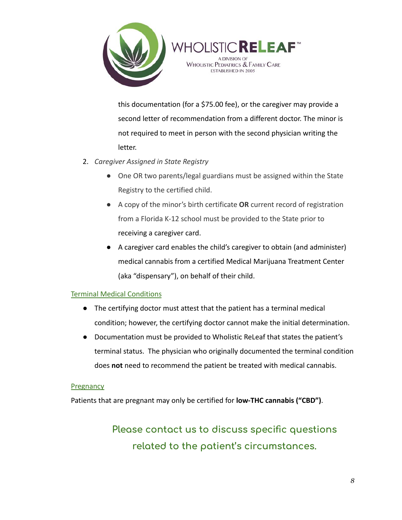

this documentation (for a \$75.00 fee), or the caregiver may provide a second letter of recommendation from a different doctor. The minor is not required to meet in person with the second physician writing the letter.

**WHOLISTICRELEAF<sup>®</sup>** A DIVISION OF **WHOLISTIC PEDIATRICS & FAMILY CARE ESTABLISHED IN 2005** 

- 2. *Caregiver Assigned in State Registry*
	- One OR two parents/legal guardians must be assigned within the State Registry to the certified child.
	- A copy of the minor's birth certificate **OR** current record of registration from a Florida K-12 school must be provided to the State prior to receiving a caregiver card.
	- A caregiver card enables the child's caregiver to obtain (and administer) medical cannabis from a certified Medical Marijuana Treatment Center (aka "dispensary"), on behalf of their child.

#### Terminal Medical Conditions

- The certifying doctor must attest that the patient has a terminal medical condition; however, the certifying doctor cannot make the initial determination.
- Documentation must be provided to Wholistic ReLeaf that states the patient's terminal status. The physician who originally documented the terminal condition does **not** need to recommend the patient be treated with medical cannabis.

#### **Pregnancy**

Patients that are pregnant may only be certified for **low-THC cannabis ("CBD")**.

**Please contact us to discuss specific questions related to the patient's circumstances.**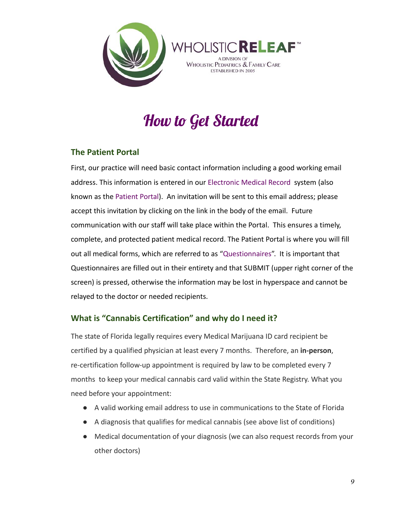



# How to Get Started

### **The Patient Portal**

First, our practice will need basic contact information including a good working email address. This information is entered in our Electronic Medical Record system (also known as the Patient Portal). An invitation will be sent to this email address; please accept this invitation by clicking on the link in the body of the email. Future communication with our staff will take place within the Portal. This ensures a timely, complete, and protected patient medical record. The Patient Portal is where you will fill out all medical forms, which are referred to as "Questionnaires". It is important that Questionnaires are filled out in their entirety and that SUBMIT (upper right corner of the screen) is pressed, otherwise the information may be lost in hyperspace and cannot be relayed to the doctor or needed recipients.

### **What is "Cannabis Certification" and why do I need it?**

The state of Florida legally requires every Medical Marijuana ID card recipient be certified by a qualified physician at least every 7 months. Therefore, an **in-person**, re-certification follow-up appointment is required by law to be completed every 7 months to keep your medical cannabis card valid within the State Registry. What you need before your appointment:

- A valid working email address to use in communications to the State of Florida
- A diagnosis that qualifies for medical cannabis (see above list of conditions)
- Medical documentation of your diagnosis (we can also request records from your other doctors)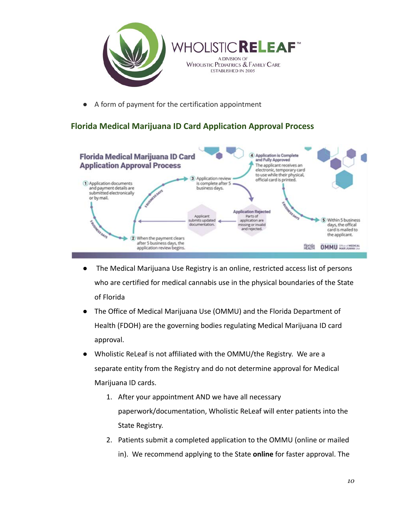

● A form of payment for the certification appointment

## **Florida Medical Marijuana ID Card Application Approval Process**



- The Medical Marijuana Use Registry is an online, restricted access list of persons who are certified for medical cannabis use in the physical boundaries of the State of Florida
- The Office of Medical Marijuana Use (OMMU) and the Florida Department of Health (FDOH) are the governing bodies regulating Medical Marijuana ID card approval.
- Wholistic ReLeaf is not affiliated with the OMMU/the Registry. We are a separate entity from the Registry and do not determine approval for Medical Marijuana ID cards.
	- 1. After your appointment AND we have all necessary paperwork/documentation, Wholistic ReLeaf will enter patients into the State Registry.
	- 2. Patients submit a completed application to the OMMU (online or mailed in). We recommend applying to the State **online** for faster approval. The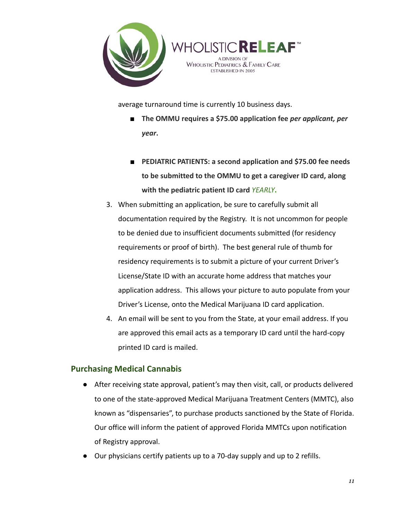



average turnaround time is currently 10 business days.

- The OMMU requires a \$75.00 application fee *per applicant, per year***.**
- **PEDIATRIC PATIENTS: a second application and \$75.00 fee needs to be submitted to the OMMU to get a caregiver ID card, along with the pediatric patient ID card** *YEARLY***.**
- 3. When submitting an application, be sure to carefully submit all documentation required by the Registry. It is not uncommon for people to be denied due to insufficient documents submitted (for residency requirements or proof of birth). The best general rule of thumb for residency requirements is to submit a picture of your current Driver's License/State ID with an accurate home address that matches your application address. This allows your picture to auto populate from your Driver's License, onto the Medical Marijuana ID card application.
- 4. An email will be sent to you from the State, at your email address. If you are approved this email acts as a temporary ID card until the hard-copy printed ID card is mailed.

#### **Purchasing Medical Cannabis**

- After receiving state approval, patient's may then visit, call, or products delivered to one of the state-approved Medical Marijuana Treatment Centers (MMTC), also known as "dispensaries", to purchase products sanctioned by the State of Florida. Our office will inform the patient of approved Florida MMTCs upon notification of Registry approval.
- Our physicians certify patients up to a 70-day supply and up to 2 refills.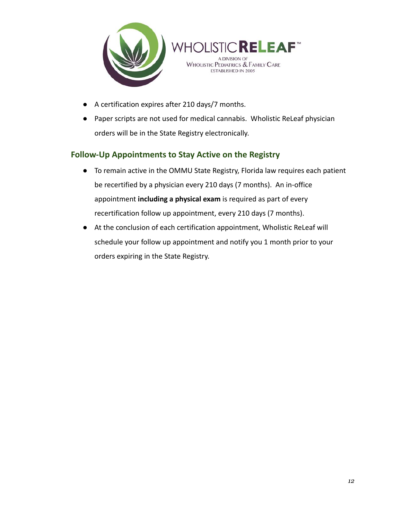



- A certification expires after 210 days/7 months.
- Paper scripts are not used for medical cannabis. Wholistic ReLeaf physician orders will be in the State Registry electronically.

### **Follow-Up Appointments to Stay Active on the Registry**

- To remain active in the OMMU State Registry, Florida law requires each patient be recertified by a physician every 210 days (7 months). An in-office appointment **including a physical exam** is required as part of every recertification follow up appointment, every 210 days (7 months).
- At the conclusion of each certification appointment, Wholistic ReLeaf will schedule your follow up appointment and notify you 1 month prior to your orders expiring in the State Registry.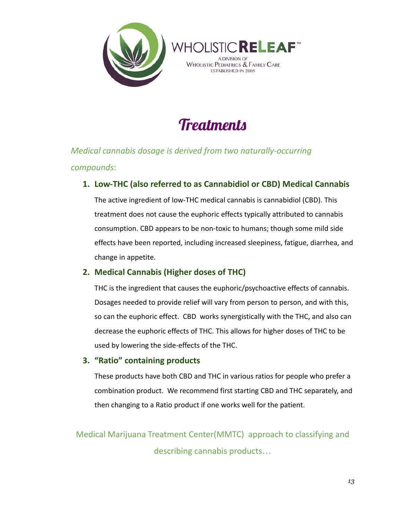



# **Treatments**

*Medical cannabis dosage is derived from two naturally-occurring compounds*:

### **1. Low-THC (also referred to as Cannabidiol or CBD) Medical Cannabis**

The active ingredient of low-THC medical cannabis is cannabidiol (CBD). This treatment does not cause the euphoric effects typically attributed to cannabis consumption. CBD appears to be non-toxic to humans; though some mild side effects have been reported, including increased sleepiness, fatigue, diarrhea, and change in appetite.

### **2. Medical Cannabis (Higher doses of THC)**

THC is the ingredient that causes the euphoric/psychoactive effects of cannabis. Dosages needed to provide relief will vary from person to person, and with this, so can the euphoric effect. CBD works synergistically with the THC, and also can decrease the euphoric effects of THC. This allows for higher doses of THC to be used by lowering the side-effects of the THC.

### **3. "Ratio" containing products**

These products have both CBD and THC in various ratios for people who prefer a combination product. We recommend first starting CBD and THC separately, and then changing to a Ratio product if one works well for the patient.

Medical Marijuana Treatment Center(MMTC) approach to classifying and describing cannabis products…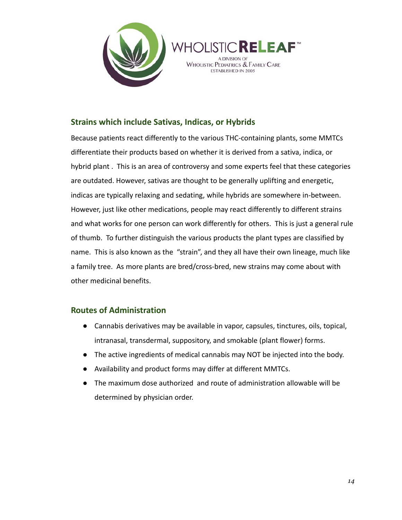



#### **Strains which include Sativas, Indicas, or Hybrids**

Because patients react differently to the various THC-containing plants, some MMTCs differentiate their products based on whether it is derived from a sativa, indica, or hybrid plant . This is an area of controversy and some experts feel that these categories are outdated. However, sativas are thought to be generally uplifting and energetic, indicas are typically relaxing and sedating, while hybrids are somewhere in-between. However, just like other medications, people may react differently to different strains and what works for one person can work differently for others. This is just a general rule of thumb. To further distinguish the various products the plant types are classified by name. This is also known as the "strain", and they all have their own lineage, much like a family tree. As more plants are bred/cross-bred, new strains may come about with other medicinal benefits.

#### **Routes of Administration**

- **●** Cannabis derivatives may be available in vapor, capsules, tinctures, oils, topical, intranasal, transdermal, suppository, and smokable (plant flower) forms.
- The active ingredients of medical cannabis may NOT be injected into the body.
- **●** Availability and product forms may differ at different MMTCs.
- **●** The maximum dose authorized and route of administration allowable will be determined by physician order.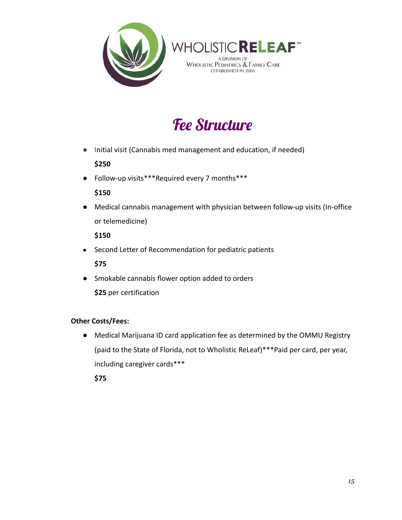



# Fee Structure

● Initial visit (Cannabis med management and education, if needed)

### **\$250**

● Follow-up visits\*\*\*Required every 7 months\*\*\*

#### **\$150**

● Medical cannabis management with physician between follow-up visits (In-office or telemedicine)

**\$150**

● Second Letter of Recommendation for pediatric patients

**\$75**

● Smokable cannabis flower option added to orders

**\$25** per certification

### **Other Costs/Fees:**

● Medical Marijuana ID card application fee as determined by the OMMU Registry (paid to the State of Florida, not to Wholistic ReLeaf)\*\*\*Paid per card, per year, including caregiver cards\*\*\*

**\$75**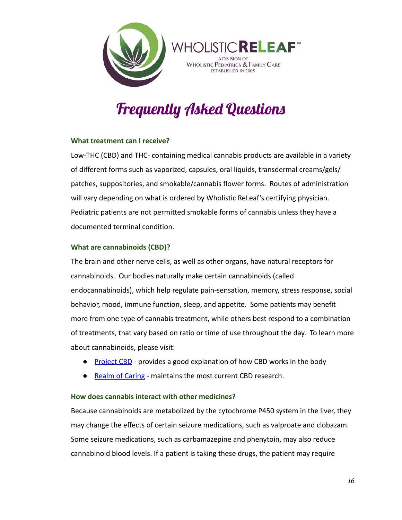



# Frequently Asked Questions

#### **What treatment can I receive?**

Low-THC (CBD) and THC- containing medical cannabis products are available in a variety of different forms such as vaporized, capsules, oral liquids, transdermal creams/gels/ patches, suppositories, and smokable/cannabis flower forms. Routes of administration will vary depending on what is ordered by Wholistic ReLeaf's certifying physician. Pediatric patients are not permitted smokable forms of cannabis unless they have a documented terminal condition.

#### **What are cannabinoids (CBD)?**

The brain and other nerve cells, as well as other organs, have natural receptors for cannabinoids. Our bodies naturally make certain cannabinoids (called endocannabinoids), which help regulate pain-sensation, memory, stress response, social behavior, mood, immune function, sleep, and appetite. Some patients may benefit more from one type of cannabis treatment, while others best respond to a combination of treatments, that vary based on ratio or time of use throughout the day. To learn more about cannabinoids, please visit:

- Pr[oject CBD](https://www.projectcbd.org/how-cbd-works) provides a good explanation of how CBD works in the body
- R[ealm of Caring](https://www.theroc.us/research) maintains the most current CBD research.

#### **How does cannabis interact with other medicines?**

Because cannabinoids are metabolized by the cytochrome P450 system in the liver, they may change the effects of certain seizure medications, such as valproate and clobazam. Some seizure medications, such as carbamazepine and phenytoin, may also reduce cannabinoid blood levels. If a patient is taking these drugs, the patient may require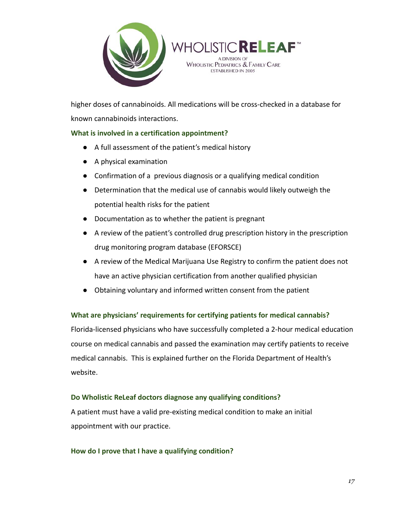



higher doses of cannabinoids. All medications will be cross-checked in a database for known cannabinoids interactions.

#### **What is involved in a certification appointment?**

- A full assessment of the patient's medical history
- A physical examination
- Confirmation of a previous diagnosis or a qualifying medical condition
- Determination that the medical use of cannabis would likely outweigh the potential health risks for the patient
- Documentation as to whether the patient is pregnant
- A review of the patient's controlled drug prescription history in the prescription drug monitoring program database (EFORSCE)
- A review of the Medical Marijuana Use Registry to confirm the patient does not have an active physician certification from another qualified physician
- Obtaining voluntary and informed written consent from the patient

#### **What are physicians' requirements for certifying patients for medical cannabis?**

Florida-licensed physicians who have successfully completed a 2-hour medical education course on medical cannabis and passed the examination may certify patients to receive medical cannabis. This is explained further on the Florida Department of Health's website.

#### **Do Wholistic ReLeaf doctors diagnose any qualifying conditions?**

A patient must have a valid pre-existing medical condition to make an initial appointment with our practice.

#### **How do I prove that I have a qualifying condition?**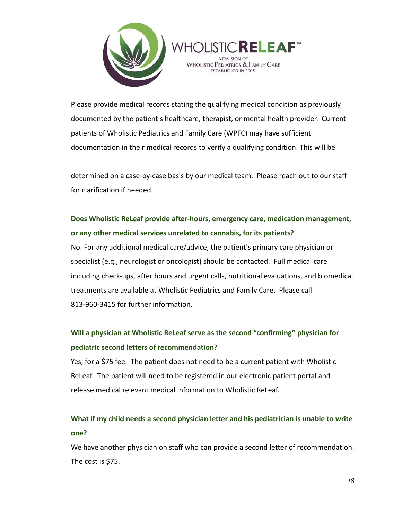



Please provide medical records stating the qualifying medical condition as previously documented by the patient's healthcare, therapist, or mental health provider. Current patients of Wholistic Pediatrics and Family Care (WPFC) may have sufficient documentation in their medical records to verify a qualifying condition. This will be

determined on a case-by-case basis by our medical team. Please reach out to our staff for clarification if needed.

# **Does Wholistic ReLeaf provide after-hours, emergency care, medication management, or any other medical services unrelated to cannabis, for its patients?**

No. For any additional medical care/advice, the patient's primary care physician or specialist (e.g., neurologist or oncologist) should be contacted. Full medical care including check-ups, after hours and urgent calls, nutritional evaluations, and biomedical treatments are available at Wholistic Pediatrics and Family Care. Please call 813-960-3415 for further information.

# **Will a physician at Wholistic ReLeaf serve as the second "confirming" physician for pediatric second letters of recommendation?**

Yes, for a \$75 fee. The patient does not need to be a current patient with Wholistic ReLeaf. The patient will need to be registered in our electronic patient portal and release medical relevant medical information to Wholistic ReLeaf.

# **What if my child needs a second physician letter and his pediatrician is unable to write one?**

We have another physician on staff who can provide a second letter of recommendation. The cost is \$75.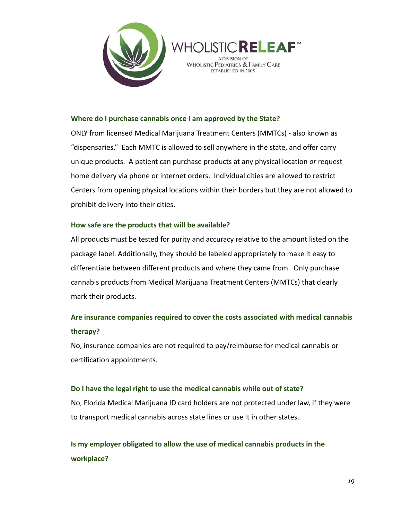



#### **Where do I purchase cannabis once I am approved by the State?**

ONLY from licensed Medical Marijuana Treatment Centers (MMTCs) - also known as "dispensaries." Each MMTC is allowed to sell anywhere in the state, and offer carry unique products. A patient can purchase products at any physical location *or* request home delivery via phone or internet orders. Individual cities are allowed to restrict Centers from opening physical locations within their borders but they are not allowed to prohibit delivery into their cities.

#### **How safe are the products that will be available?**

All products must be tested for purity and accuracy relative to the amount listed on the package label. Additionally, they should be labeled appropriately to make it easy to differentiate between different products and where they came from. Only purchase cannabis products from Medical Marijuana Treatment Centers (MMTCs) that clearly mark their products.

# **Are insurance companies required to cover the costs associated with medical cannabis therapy?**

No, insurance companies are not required to pay/reimburse for medical cannabis or certification appointments.

#### **Do I have the legal right to use the medical cannabis while out of state?**

No, Florida Medical Marijuana ID card holders are not protected under law, if they were to transport medical cannabis across state lines or use it in other states.

**Is my employer obligated to allow the use of medical cannabis products in the workplace?**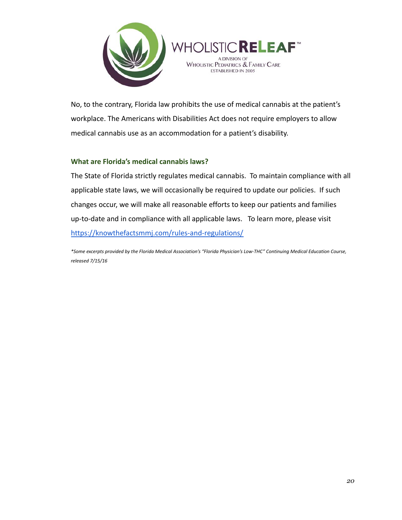



No, to the contrary, Florida law prohibits the use of medical cannabis at the patient's workplace. The Americans with Disabilities Act does not require employers to allow medical cannabis use as an accommodation for a patient's disability.

#### **What are Florida's medical cannabis laws?**

The State of Florida strictly regulates medical cannabis. To maintain compliance with all applicable state laws, we will occasionally be required to update our policies. If such changes occur, we will make all reasonable efforts to keep our patients and families up-to-date and in compliance with all applicable laws. To learn more, please visit <https://knowthefactsmmj.com/rules-and-regulations/>

\*Some excerpts provided by the Florida Medical Association's "Florida Physician's Low-THC" Continuing Medical Education Course, *released 7/15/16*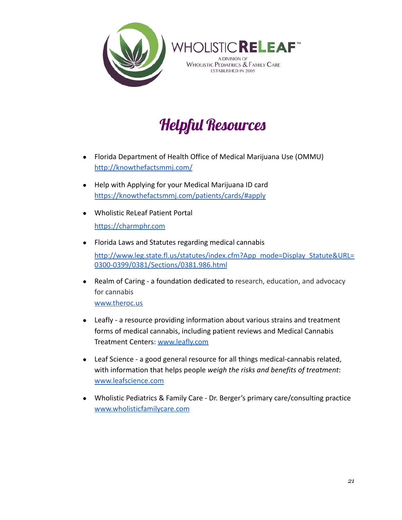



# Helpful Resources

- Florida Department of Health Office of Medical Marijuana Use (OMMU) <http://knowthefactsmmj.com/>
- Help with Applying for your Medical Marijuana ID card <https://knowthefactsmmj.com/patients/cards/#apply>
- Wholistic ReLeaf Patient Portal <https://charmphr.com>
- Florida Laws and Statutes regarding medical cannabis [http://www.leg.state.fl.us/statutes/index.cfm?App\\_mode=Display\\_Statute&URL=](http://www.leg.state.fl.us/statutes/index.cfm?App_mode=Display_Statute&URL=0300-0399/0381/Sections/0381.986.html) [0300-0399/0381/Sections/0381.986.html](http://www.leg.state.fl.us/statutes/index.cfm?App_mode=Display_Statute&URL=0300-0399/0381/Sections/0381.986.html)
- Realm of Caring a foundation dedicated to research, education, and advocacy for cannabis [www.theroc.us](http://www.theroc.us/)
- Leafly a resource providing information about various strains and treatment forms of medical cannabis, including patient reviews and Medical Cannabis Treatment Centers: [www.leafly.com](http://www.leafly.com)
- Leaf Science a good general resource for all things medical-cannabis related, with information that helps people *weigh the risks and benefits of treatment*: [www.leafscience.com](http://www.leafscience.com/)
- Wholistic Pediatrics & Family Care Dr. Berger's primary care/consulting practice [www.wholisticfamilycare.com](http://www.wholisticfamilycare.com/)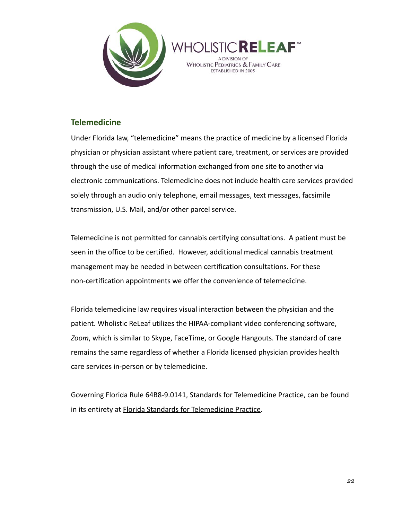



#### **Telemedicine**

Under Florida law, "telemedicine" means the practice of medicine by a licensed Florida physician or physician assistant where patient care, treatment, or services are provided through the use of medical information exchanged from one site to another via electronic communications. Telemedicine does not include health care services provided solely through an audio only telephone, email messages, text messages, facsimile transmission, U.S. Mail, and/or other parcel service.

Telemedicine is not permitted for cannabis certifying consultations. A patient must be seen in the office to be certified. However, additional medical cannabis treatment management may be needed in between certification consultations. For these non-certification appointments we offer the convenience of telemedicine.

Florida telemedicine law requires visual interaction between the physician and the patient. Wholistic ReLeaf utilizes the HIPAA-compliant video conferencing software, *Zoom*, which is similar to Skype, FaceTime, or Google Hangouts. The standard of care remains the same regardless of whether a Florida licensed physician provides health care services in-person or by telemedicine.

Governing Florida Rule 64B8-9.0141, Standards for Telemedicine Practice, can be found in its entirety at Florida Standards for T[elemedicine Practice](https://www.flrules.org/gateway/ruleno.asp?id=64B8-9.0141).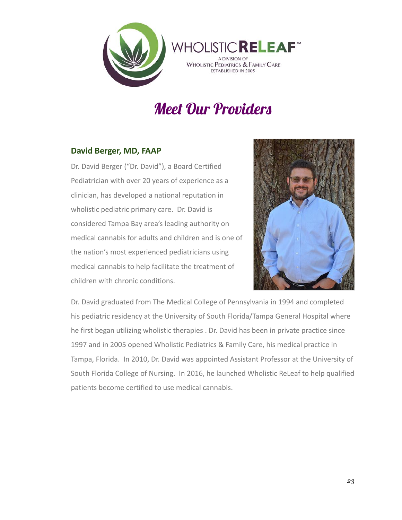

# Meet Our Providers

### **David Berger, MD, FAAP**

Dr. David Berger ("Dr. David"), a Board Certified Pediatrician with over 20 years of experience as a clinician, has developed a national reputation in wholistic pediatric primary care. Dr. David is considered Tampa Bay area's leading authority on medical cannabis for adults and children and is one of the nation's most experienced pediatricians using medical cannabis to help facilitate the treatment of children with chronic conditions.



Dr. David graduated from The Medical College of Pennsylvania in 1994 and completed his pediatric residency at the University of South Florida/Tampa General Hospital where he first began utilizing wholistic therapies . Dr. David has been in private practice since 1997 and in 2005 opened Wholistic Pediatrics & Family Care, his medical practice in Tampa, Florida. In 2010, Dr. David was appointed Assistant Professor at the University of South Florida College of Nursing. In 2016, he launched Wholistic ReLeaf to help qualified patients become certified to use medical cannabis.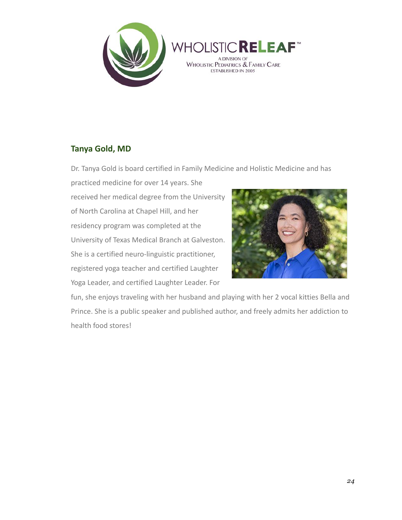



### **Tanya Gold, MD**

Dr. Tanya Gold is board certified in Family Medicine and Holistic Medicine and has

practiced medicine for over 14 years. She received her medical degree from the University of North Carolina at Chapel Hill, and her residency program was completed at the University of Texas Medical Branch at Galveston. She is a certified neuro-linguistic practitioner, registered yoga teacher and certified Laughter Yoga Leader, and certified Laughter Leader. For



fun, she enjoys traveling with her husband and playing with her 2 vocal kitties Bella and Prince. She is a public speaker and published author, and freely admits her addiction to health food stores!